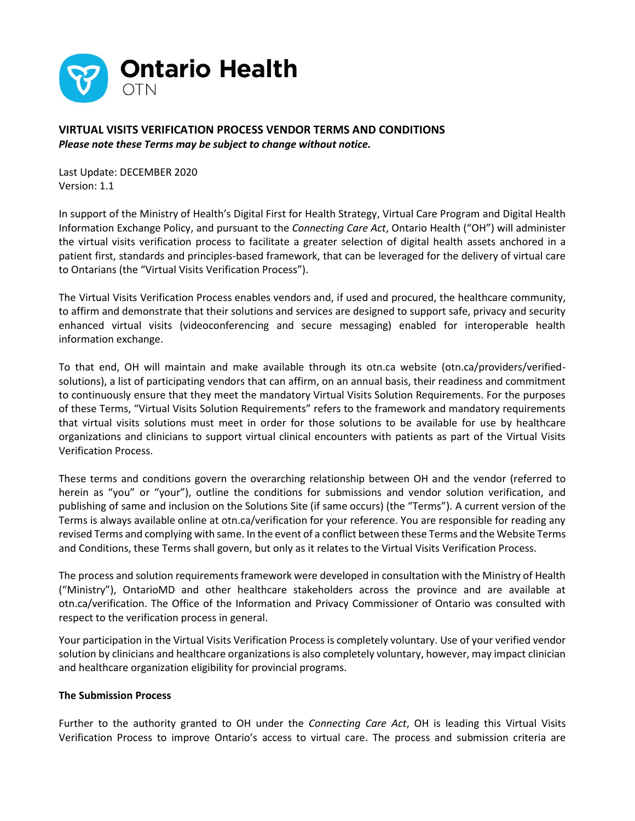

**VIRTUAL VISITS VERIFICATION PROCESS VENDOR TERMS AND CONDITIONS** *Please note these Terms may be subject to change without notice.*

Last Update: DECEMBER 2020 Version: 1.1

In support of the Ministry of Health's Digital First for Health Strategy, Virtual Care Program and Digital Health Information Exchange Policy, and pursuant to the *Connecting Care Act*, Ontario Health ("OH") will administer the virtual visits verification process to facilitate a greater selection of digital health assets anchored in a patient first, standards and principles-based framework, that can be leveraged for the delivery of virtual care to Ontarians (the "Virtual Visits Verification Process").

The Virtual Visits Verification Process enables vendors and, if used and procured, the healthcare community, to affirm and demonstrate that their solutions and services are designed to support safe, privacy and security enhanced virtual visits (videoconferencing and secure messaging) enabled for interoperable health information exchange.

To that end, OH will maintain and make available through its otn.ca website (otn.ca/providers/verifiedsolutions), a list of participating vendors that can affirm, on an annual basis, their readiness and commitment to continuously ensure that they meet the mandatory Virtual Visits Solution Requirements. For the purposes of these Terms, "Virtual Visits Solution Requirements" refers to the framework and mandatory requirements that virtual visits solutions must meet in order for those solutions to be available for use by healthcare organizations and clinicians to support virtual clinical encounters with patients as part of the Virtual Visits Verification Process.

These terms and conditions govern the overarching relationship between OH and the vendor (referred to herein as "you" or "your"), outline the conditions for submissions and vendor solution verification, and publishing of same and inclusion on the Solutions Site (if same occurs) (the "Terms"). A current version of the Terms is always available online at otn.ca/verification for your reference. You are responsible for reading any revised Terms and complying with same. In the event of a conflict between these Terms and the Website Terms and Conditions, these Terms shall govern, but only as it relates to the Virtual Visits Verification Process.

The process and solution requirements framework were developed in consultation with the Ministry of Health ("Ministry"), OntarioMD and other healthcare stakeholders across the province and are available at otn.ca/verification. The Office of the Information and Privacy Commissioner of Ontario was consulted with respect to the verification process in general.

Your participation in the Virtual Visits Verification Process is completely voluntary. Use of your verified vendor solution by clinicians and healthcare organizations is also completely voluntary, however, may impact clinician and healthcare organization eligibility for provincial programs.

## **The Submission Process**

Further to the authority granted to OH under the *Connecting Care Act*, OH is leading this Virtual Visits Verification Process to improve Ontario's access to virtual care. The process and submission criteria are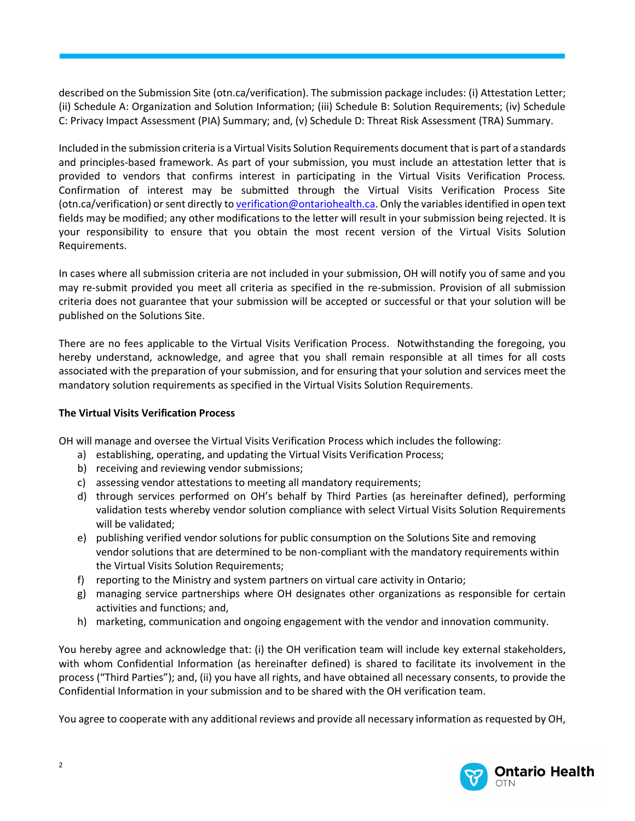described on the Submission Site (otn.ca/verification). The submission package includes: (i) Attestation Letter; (ii) Schedule A: Organization and Solution Information; (iii) Schedule B: Solution Requirements; (iv) Schedule C: Privacy Impact Assessment (PIA) Summary; and, (v) Schedule D: Threat Risk Assessment (TRA) Summary.

**TERMS AND CONDITIONS**

Included in the submission criteria is a Virtual Visits Solution Requirements document that is part of a standards and principles-based framework. As part of your submission, you must include an attestation letter that is provided to vendors that confirms interest in participating in the Virtual Visits Verification Process. Confirmation of interest may be submitted through the Virtual Visits Verification Process Site (otn.ca/verification) or sent directly t[o verification@ontariohealth.ca.](mailto:verification@ontariohealth.ca) Only the variables identified in open text fields may be modified; any other modifications to the letter will result in your submission being rejected. It is your responsibility to ensure that you obtain the most recent version of the Virtual Visits Solution Requirements.

In cases where all submission criteria are not included in your submission, OH will notify you of same and you may re-submit provided you meet all criteria as specified in the re-submission. Provision of all submission criteria does not guarantee that your submission will be accepted or successful or that your solution will be published on the Solutions Site.

There are no fees applicable to the Virtual Visits Verification Process. Notwithstanding the foregoing, you hereby understand, acknowledge, and agree that you shall remain responsible at all times for all costs associated with the preparation of your submission, and for ensuring that your solution and services meet the mandatory solution requirements as specified in the Virtual Visits Solution Requirements.

## **The Virtual Visits Verification Process**

OH will manage and oversee the Virtual Visits Verification Process which includes the following:

- a) establishing, operating, and updating the Virtual Visits Verification Process;
- b) receiving and reviewing vendor submissions;
- c) assessing vendor attestations to meeting all mandatory requirements;
- d) through services performed on OH's behalf by Third Parties (as hereinafter defined), performing validation tests whereby vendor solution compliance with select Virtual Visits Solution Requirements will be validated;
- e) publishing verified vendor solutions for public consumption on the Solutions Site and removing vendor solutions that are determined to be non-compliant with the mandatory requirements within the Virtual Visits Solution Requirements;
- f) reporting to the Ministry and system partners on virtual care activity in Ontario;
- g) managing service partnerships where OH designates other organizations as responsible for certain activities and functions; and,
- h) marketing, communication and ongoing engagement with the vendor and innovation community.

You hereby agree and acknowledge that: (i) the OH verification team will include key external stakeholders, with whom Confidential Information (as hereinafter defined) is shared to facilitate its involvement in the process ("Third Parties"); and, (ii) you have all rights, and have obtained all necessary consents, to provide the Confidential Information in your submission and to be shared with the OH verification team.

You agree to cooperate with any additional reviews and provide all necessary information as requested by OH,

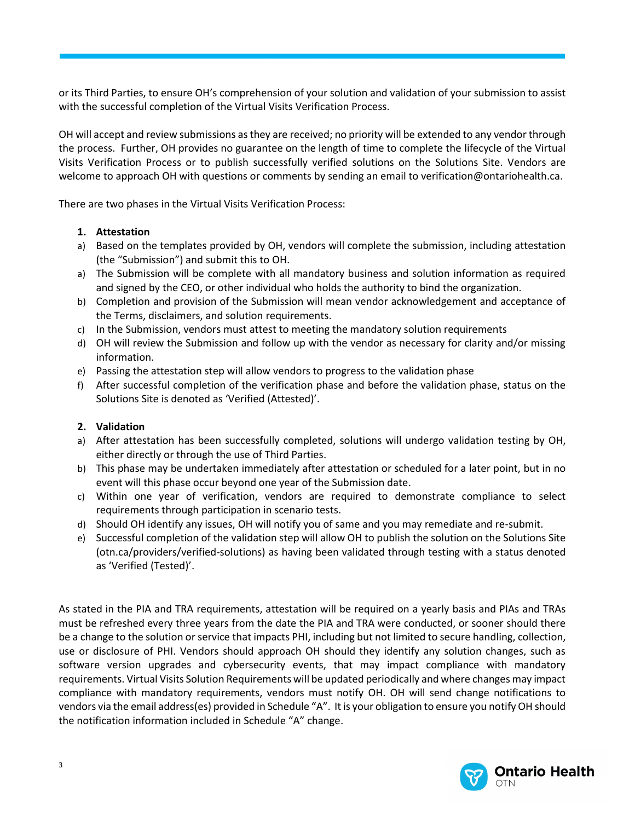or its Third Parties, to ensure OH's comprehension of your solution and validation of your submission to assist with the successful completion of the Virtual Visits Verification Process.

**TERMS AND CONDITIONS**

OH will accept and review submissions as they are received; no priority will be extended to any vendor through the process. Further, OH provides no guarantee on the length of time to complete the lifecycle of the Virtual Visits Verification Process or to publish successfully verified solutions on the Solutions Site. Vendors are welcome to approach OH with questions or comments by sending an email to verification@ontariohealth.ca.

There are two phases in the Virtual Visits Verification Process:

## **1. Attestation**

- a) Based on the templates provided by OH, vendors will complete the submission, including attestation (the "Submission") and submit this to OH.
- a) The Submission will be complete with all mandatory business and solution information as required and signed by the CEO, or other individual who holds the authority to bind the organization.
- b) Completion and provision of the Submission will mean vendor acknowledgement and acceptance of the Terms, disclaimers, and solution requirements.
- c) In the Submission, vendors must attest to meeting the mandatory solution requirements
- d) OH will review the Submission and follow up with the vendor as necessary for clarity and/or missing information.
- e) Passing the attestation step will allow vendors to progress to the validation phase
- f) After successful completion of the verification phase and before the validation phase, status on the Solutions Site is denoted as 'Verified (Attested)'.

## **2. Validation**

- a) After attestation has been successfully completed, solutions will undergo validation testing by OH, either directly or through the use of Third Parties.
- b) This phase may be undertaken immediately after attestation or scheduled for a later point, but in no event will this phase occur beyond one year of the Submission date.
- c) Within one year of verification, vendors are required to demonstrate compliance to select requirements through participation in scenario tests.
- d) Should OH identify any issues, OH will notify you of same and you may remediate and re-submit.
- e) Successful completion of the validation step will allow OH to publish the solution on the Solutions Site (otn.ca/providers/verified-solutions) as having been validated through testing with a status denoted as 'Verified (Tested)'.

As stated in the PIA and TRA requirements, attestation will be required on a yearly basis and PIAs and TRAs must be refreshed every three years from the date the PIA and TRA were conducted, or sooner should there be a change to the solution or service that impacts PHI, including but not limited to secure handling, collection, use or disclosure of PHI. Vendors should approach OH should they identify any solution changes, such as software version upgrades and cybersecurity events, that may impact compliance with mandatory requirements. Virtual Visits Solution Requirements will be updated periodically and where changes may impact compliance with mandatory requirements, vendors must notify OH. OH will send change notifications to vendors via the email address(es) provided in Schedule "A". It is your obligation to ensure you notify OH should the notification information included in Schedule "A" change.

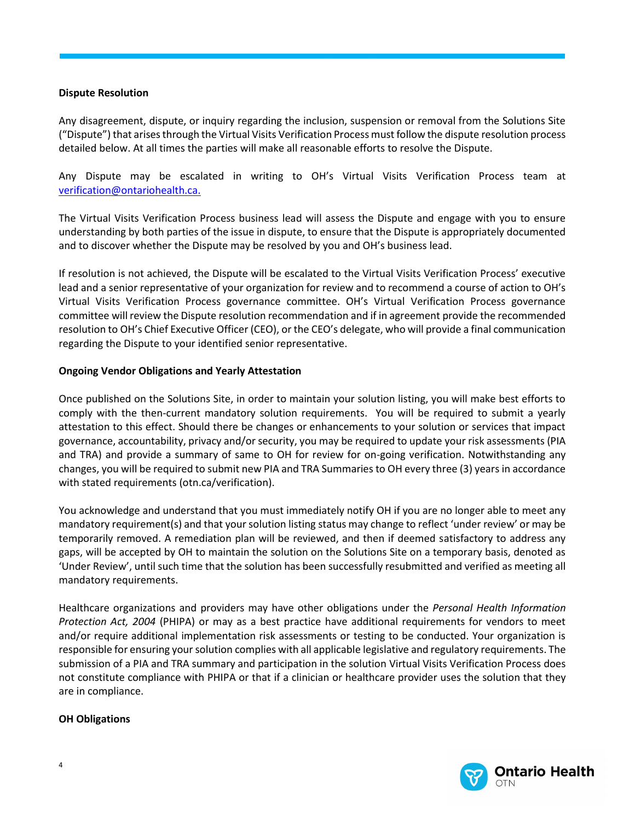## **Dispute Resolution**

Any disagreement, dispute, or inquiry regarding the inclusion, suspension or removal from the Solutions Site ("Dispute") that arises through the Virtual Visits Verification Process must follow the dispute resolution process detailed below. At all times the parties will make all reasonable efforts to resolve the Dispute.

**TERMS AND CONDITIONS**

Any Dispute may be escalated in writing to OH's Virtual Visits Verification Process team at [verification@ontariohealth.ca.](mailto:verification@ontariohealth.ca)

The Virtual Visits Verification Process business lead will assess the Dispute and engage with you to ensure understanding by both parties of the issue in dispute, to ensure that the Dispute is appropriately documented and to discover whether the Dispute may be resolved by you and OH's business lead.

If resolution is not achieved, the Dispute will be escalated to the Virtual Visits Verification Process' executive lead and a senior representative of your organization for review and to recommend a course of action to OH's Virtual Visits Verification Process governance committee. OH's Virtual Verification Process governance committee will review the Dispute resolution recommendation and if in agreement provide the recommended resolution to OH's Chief Executive Officer (CEO), or the CEO's delegate, who will provide a final communication regarding the Dispute to your identified senior representative.

## **Ongoing Vendor Obligations and Yearly Attestation**

Once published on the Solutions Site, in order to maintain your solution listing, you will make best efforts to comply with the then-current mandatory solution requirements. You will be required to submit a yearly attestation to this effect. Should there be changes or enhancements to your solution or services that impact governance, accountability, privacy and/or security, you may be required to update your risk assessments (PIA and TRA) and provide a summary of same to OH for review for on-going verification. Notwithstanding any changes, you will be required to submit new PIA and TRA Summaries to OH every three (3) years in accordance with stated requirements (otn.ca/verification).

You acknowledge and understand that you must immediately notify OH if you are no longer able to meet any mandatory requirement(s) and that your solution listing status may change to reflect 'under review' or may be temporarily removed. A remediation plan will be reviewed, and then if deemed satisfactory to address any gaps, will be accepted by OH to maintain the solution on the Solutions Site on a temporary basis, denoted as 'Under Review', until such time that the solution has been successfully resubmitted and verified as meeting all mandatory requirements.

Healthcare organizations and providers may have other obligations under the *Personal Health Information Protection Act, 2004* (PHIPA) or may as a best practice have additional requirements for vendors to meet and/or require additional implementation risk assessments or testing to be conducted. Your organization is responsible for ensuring your solution complies with all applicable legislative and regulatory requirements. The submission of a PIA and TRA summary and participation in the solution Virtual Visits Verification Process does not constitute compliance with PHIPA or that if a clinician or healthcare provider uses the solution that they are in compliance.

## **OH Obligations**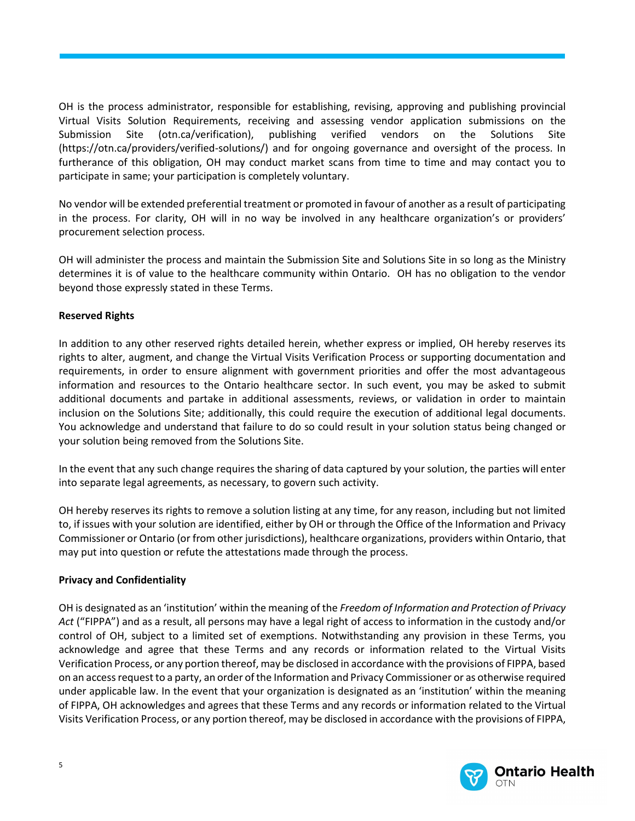OH is the process administrator, responsible for establishing, revising, approving and publishing provincial Virtual Visits Solution Requirements, receiving and assessing vendor application submissions on the Submission Site (otn.ca/verification), publishing verified vendors on the Solutions Site (https://otn.ca/providers/verified-solutions/) and for ongoing governance and oversight of the process. In furtherance of this obligation, OH may conduct market scans from time to time and may contact you to participate in same; your participation is completely voluntary.

**TERMS AND CONDITIONS**

No vendor will be extended preferential treatment or promoted in favour of another as a result of participating in the process. For clarity, OH will in no way be involved in any healthcare organization's or providers' procurement selection process.

OH will administer the process and maintain the Submission Site and Solutions Site in so long as the Ministry determines it is of value to the healthcare community within Ontario. OH has no obligation to the vendor beyond those expressly stated in these Terms.

## **Reserved Rights**

In addition to any other reserved rights detailed herein, whether express or implied, OH hereby reserves its rights to alter, augment, and change the Virtual Visits Verification Process or supporting documentation and requirements, in order to ensure alignment with government priorities and offer the most advantageous information and resources to the Ontario healthcare sector. In such event, you may be asked to submit additional documents and partake in additional assessments, reviews, or validation in order to maintain inclusion on the Solutions Site; additionally, this could require the execution of additional legal documents. You acknowledge and understand that failure to do so could result in your solution status being changed or your solution being removed from the Solutions Site.

In the event that any such change requires the sharing of data captured by your solution, the parties will enter into separate legal agreements, as necessary, to govern such activity.

OH hereby reserves its rights to remove a solution listing at any time, for any reason, including but not limited to, if issues with your solution are identified, either by OH or through the Office of the Information and Privacy Commissioner or Ontario (or from other jurisdictions), healthcare organizations, providers within Ontario, that may put into question or refute the attestations made through the process.

## **Privacy and Confidentiality**

OH is designated as an 'institution' within the meaning of the *Freedom of Information and Protection of Privacy Act* ("FIPPA") and as a result, all persons may have a legal right of access to information in the custody and/or control of OH, subject to a limited set of exemptions. Notwithstanding any provision in these Terms, you acknowledge and agree that these Terms and any records or information related to the Virtual Visits Verification Process, or any portion thereof, may be disclosed in accordance with the provisions of FIPPA, based on an access request to a party, an order of the Information and Privacy Commissioner or as otherwise required under applicable law. In the event that your organization is designated as an 'institution' within the meaning of FIPPA, OH acknowledges and agrees that these Terms and any records or information related to the Virtual Visits Verification Process, or any portion thereof, may be disclosed in accordance with the provisions of FIPPA,

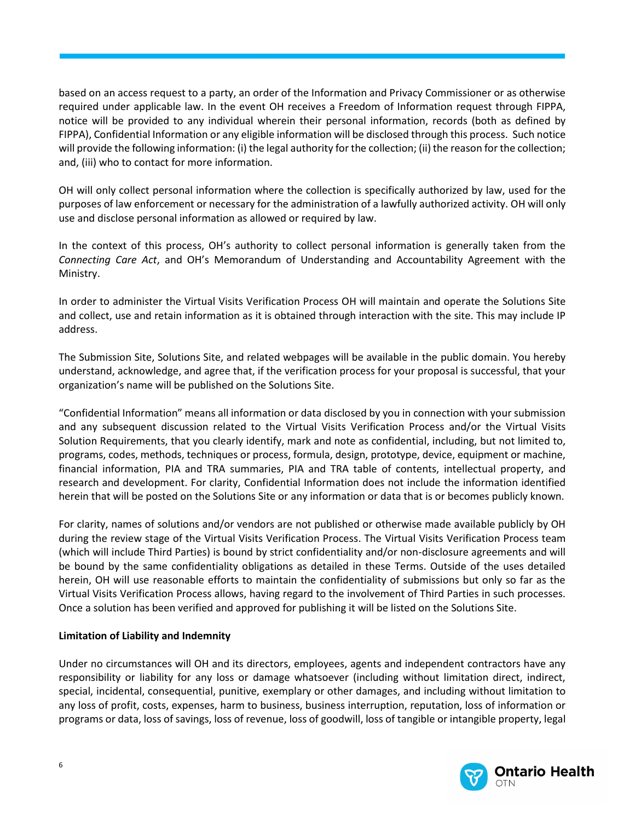based on an access request to a party, an order of the Information and Privacy Commissioner or as otherwise required under applicable law. In the event OH receives a Freedom of Information request through FIPPA, notice will be provided to any individual wherein their personal information, records (both as defined by FIPPA), Confidential Information or any eligible information will be disclosed through this process. Such notice will provide the following information: (i) the legal authority for the collection; (ii) the reason for the collection; and, (iii) who to contact for more information.

**TERMS AND CONDITIONS**

OH will only collect personal information where the collection is specifically authorized by law, used for the purposes of law enforcement or necessary for the administration of a lawfully authorized activity. OH will only use and disclose personal information as allowed or required by law.

In the context of this process, OH's authority to collect personal information is generally taken from the *Connecting Care Act*, and OH's Memorandum of Understanding and Accountability Agreement with the Ministry.

In order to administer the Virtual Visits Verification Process OH will maintain and operate the Solutions Site and collect, use and retain information as it is obtained through interaction with the site. This may include IP address.

The Submission Site, Solutions Site, and related webpages will be available in the public domain. You hereby understand, acknowledge, and agree that, if the verification process for your proposal is successful, that your organization's name will be published on the Solutions Site.

"Confidential Information" means all information or data disclosed by you in connection with your submission and any subsequent discussion related to the Virtual Visits Verification Process and/or the Virtual Visits Solution Requirements, that you clearly identify, mark and note as confidential, including, but not limited to, programs, codes, methods, techniques or process, formula, design, prototype, device, equipment or machine, financial information, PIA and TRA summaries, PIA and TRA table of contents, intellectual property, and research and development. For clarity, Confidential Information does not include the information identified herein that will be posted on the Solutions Site or any information or data that is or becomes publicly known.

For clarity, names of solutions and/or vendors are not published or otherwise made available publicly by OH during the review stage of the Virtual Visits Verification Process. The Virtual Visits Verification Process team (which will include Third Parties) is bound by strict confidentiality and/or non-disclosure agreements and will be bound by the same confidentiality obligations as detailed in these Terms. Outside of the uses detailed herein, OH will use reasonable efforts to maintain the confidentiality of submissions but only so far as the Virtual Visits Verification Process allows, having regard to the involvement of Third Parties in such processes. Once a solution has been verified and approved for publishing it will be listed on the Solutions Site.

## **Limitation of Liability and Indemnity**

Under no circumstances will OH and its directors, employees, agents and independent contractors have any responsibility or liability for any loss or damage whatsoever (including without limitation direct, indirect, special, incidental, consequential, punitive, exemplary or other damages, and including without limitation to any loss of profit, costs, expenses, harm to business, business interruption, reputation, loss of information or programs or data, loss of savings, loss of revenue, loss of goodwill, loss of tangible or intangible property, legal

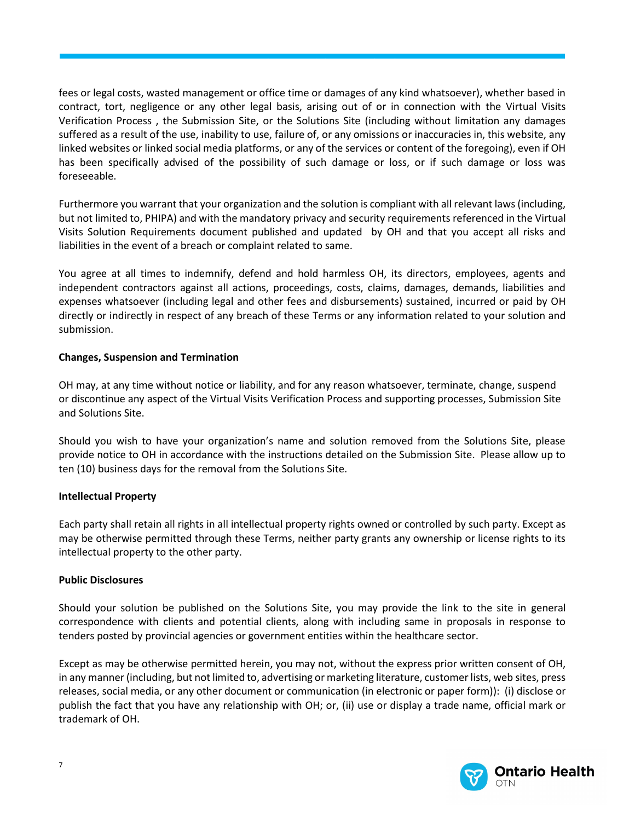fees or legal costs, wasted management or office time or damages of any kind whatsoever), whether based in contract, tort, negligence or any other legal basis, arising out of or in connection with the Virtual Visits Verification Process , the Submission Site, or the Solutions Site (including without limitation any damages suffered as a result of the use, inability to use, failure of, or any omissions or inaccuracies in, this website, any linked websites or linked social media platforms, or any of the services or content of the foregoing), even if OH has been specifically advised of the possibility of such damage or loss, or if such damage or loss was foreseeable.

**TERMS AND CONDITIONS**

Furthermore you warrant that your organization and the solution is compliant with all relevant laws (including, but not limited to, PHIPA) and with the mandatory privacy and security requirements referenced in the Virtual Visits Solution Requirements document published and updated by OH and that you accept all risks and liabilities in the event of a breach or complaint related to same.

You agree at all times to indemnify, defend and hold harmless OH, its directors, employees, agents and independent contractors against all actions, proceedings, costs, claims, damages, demands, liabilities and expenses whatsoever (including legal and other fees and disbursements) sustained, incurred or paid by OH directly or indirectly in respect of any breach of these Terms or any information related to your solution and submission.

#### **Changes, Suspension and Termination**

OH may, at any time without notice or liability, and for any reason whatsoever, terminate, change, suspend or discontinue any aspect of the Virtual Visits Verification Process and supporting processes, Submission Site and Solutions Site.

Should you wish to have your organization's name and solution removed from the Solutions Site, please provide notice to OH in accordance with the instructions detailed on the Submission Site. Please allow up to ten (10) business days for the removal from the Solutions Site.

#### **Intellectual Property**

Each party shall retain all rights in all intellectual property rights owned or controlled by such party. Except as may be otherwise permitted through these Terms, neither party grants any ownership or license rights to its intellectual property to the other party.

#### **Public Disclosures**

Should your solution be published on the Solutions Site, you may provide the link to the site in general correspondence with clients and potential clients, along with including same in proposals in response to tenders posted by provincial agencies or government entities within the healthcare sector.

Except as may be otherwise permitted herein, you may not, without the express prior written consent of OH, in any manner (including, but not limited to, advertising or marketing literature, customer lists, web sites, press releases, social media, or any other document or communication (in electronic or paper form)): (i) disclose or publish the fact that you have any relationship with OH; or, (ii) use or display a trade name, official mark or trademark of OH.